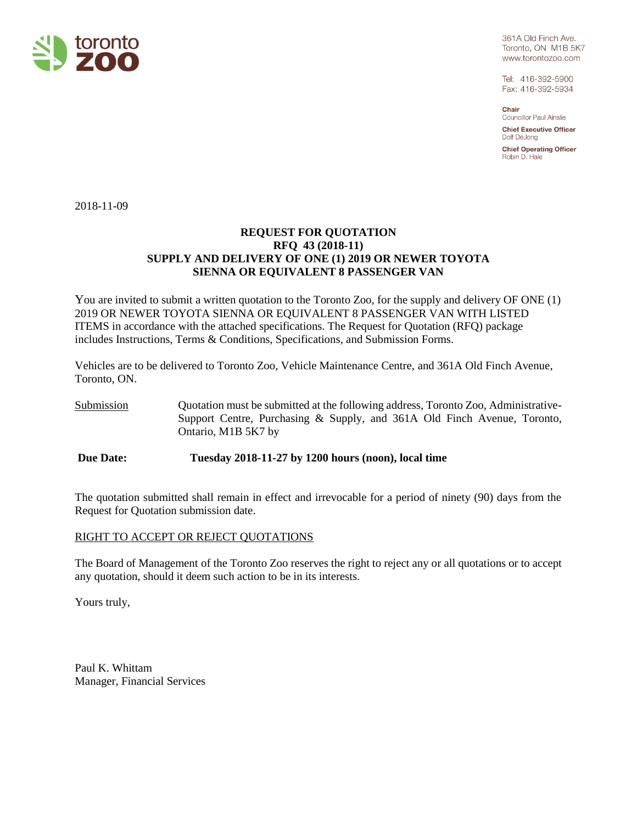

361A Old Finch Ave. Toronto, ON M1B 5K7 www.torontozoo.com

Tel: 416-392-5900 Fax: 416-392-5934

Chair **Councillor Paul Ainslie** 

**Chief Executive Officer** Dolf DeJong

**Chief Operating Officer** Robin D. Hale

2018-11-09

### **REQUEST FOR QUOTATION RFQ 43 (2018-11) SUPPLY AND DELIVERY OF ONE (1) 2019 OR NEWER TOYOTA SIENNA OR EQUIVALENT 8 PASSENGER VAN**

You are invited to submit a written quotation to the Toronto Zoo, for the supply and delivery OF ONE (1) 2019 OR NEWER TOYOTA SIENNA OR EQUIVALENT 8 PASSENGER VAN WITH LISTED ITEMS in accordance with the attached specifications. The Request for Quotation (RFQ) package includes Instructions, Terms & Conditions, Specifications, and Submission Forms.

Vehicles are to be delivered to Toronto Zoo, Vehicle Maintenance Centre, and 361A Old Finch Avenue, Toronto, ON.

Submission Quotation must be submitted at the following address, Toronto Zoo, Administrative-Support Centre, Purchasing & Supply, and 361A Old Finch Avenue, Toronto, Ontario, M1B 5K7 by

**Due Date: Tuesday 2018-11-27 by 1200 hours (noon), local time**

The quotation submitted shall remain in effect and irrevocable for a period of ninety (90) days from the Request for Quotation submission date.

### RIGHT TO ACCEPT OR REJECT QUOTATIONS

The Board of Management of the Toronto Zoo reserves the right to reject any or all quotations or to accept any quotation, should it deem such action to be in its interests.

Yours truly,

Paul K. Whittam Manager, Financial Services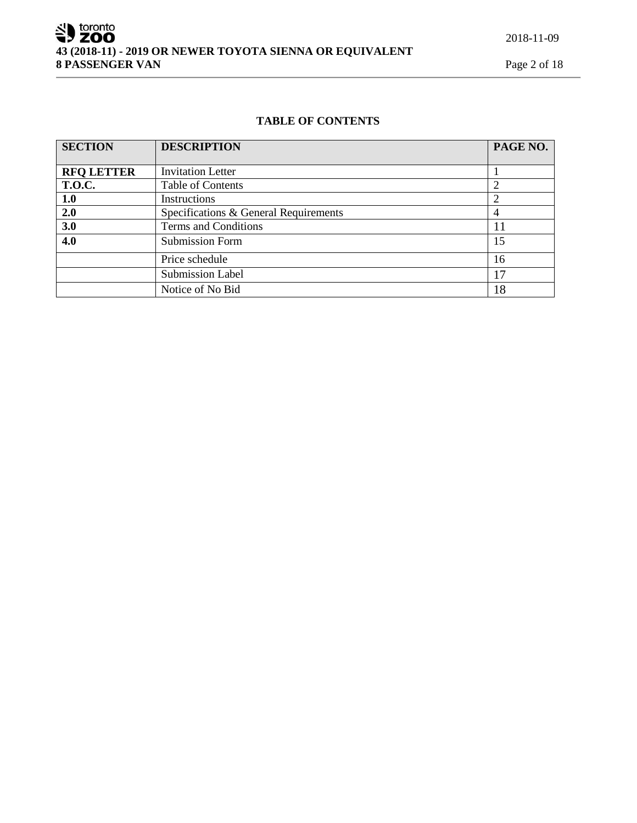SU toronto **43 (2018-11) - 2019 OR NEWER TOYOTA SIENNA OR EQUIVALENT 8 PASSENGER VAN** Page 2 of 18

## **TABLE OF CONTENTS**

| <b>SECTION</b>                               | <b>DESCRIPTION</b>       | PAGE NO. |
|----------------------------------------------|--------------------------|----------|
|                                              |                          |          |
| <b>RFQ LETTER</b>                            | <b>Invitation Letter</b> |          |
| <b>T.O.C.</b>                                | Table of Contents        | 2        |
| 1.0                                          | Instructions             |          |
| 2.0<br>Specifications & General Requirements |                          | 4        |
| 3.0<br>Terms and Conditions                  |                          | 11       |
| 4.0                                          | <b>Submission Form</b>   | 15       |
|                                              | Price schedule           | 16       |
|                                              | <b>Submission Label</b>  | 17       |
|                                              | Notice of No Bid         | 18       |

2018-11-09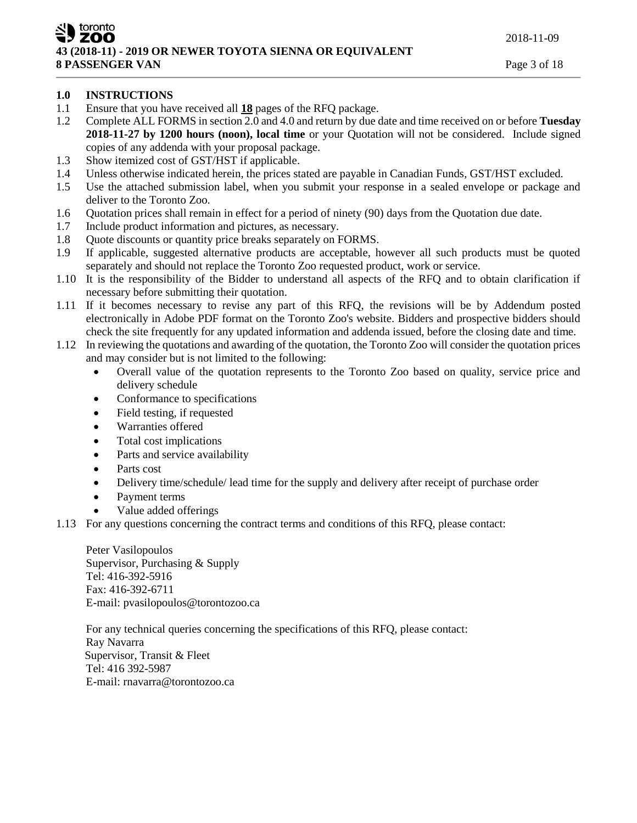zoo **43 (2018-11) - 2019 OR NEWER TOYOTA SIENNA OR EQUIVALENT 8 PASSENGER VAN** Page 3 of 18

# **1.0 INSTRUCTIONS**

toronto

- 1.1 Ensure that you have received all **18** pages of the RFQ package.
- 1.2 Complete ALL FORMS in section 2.0 and 4.0 and return by due date and time received on or before **Tuesday 2018-11-27 by 1200 hours (noon), local time** or your Quotation will not be considered. Include signed copies of any addenda with your proposal package.
- 1.3 Show itemized cost of GST/HST if applicable.
- 1.4 Unless otherwise indicated herein, the prices stated are payable in Canadian Funds, GST/HST excluded.
- 1.5 Use the attached submission label, when you submit your response in a sealed envelope or package and deliver to the Toronto Zoo.
- 1.6 Quotation prices shall remain in effect for a period of ninety (90) days from the Quotation due date.
- 1.7 Include product information and pictures, as necessary.
- 1.8 Quote discounts or quantity price breaks separately on FORMS.
- 1.9 If applicable, suggested alternative products are acceptable, however all such products must be quoted separately and should not replace the Toronto Zoo requested product, work or service.
- 1.10 It is the responsibility of the Bidder to understand all aspects of the RFQ and to obtain clarification if necessary before submitting their quotation.
- 1.11 If it becomes necessary to revise any part of this RFQ, the revisions will be by Addendum posted electronically in Adobe PDF format on the Toronto Zoo's website. Bidders and prospective bidders should check the site frequently for any updated information and addenda issued, before the closing date and time.
- 1.12 In reviewing the quotations and awarding of the quotation, the Toronto Zoo will consider the quotation prices and may consider but is not limited to the following:
	- Overall value of the quotation represents to the Toronto Zoo based on quality, service price and delivery schedule
	- Conformance to specifications
	- Field testing, if requested
	- Warranties offered
	- Total cost implications
	- Parts and service availability
	- Parts cost
	- Delivery time/schedule/ lead time for the supply and delivery after receipt of purchase order
	- Payment terms
	- Value added offerings
- 1.13 For any questions concerning the contract terms and conditions of this RFQ, please contact:

Peter Vasilopoulos Supervisor, Purchasing & Supply Tel: 416-392-5916 Fax: 416-392-6711 E-mail: pvasilopoulos@torontozoo.ca

For any technical queries concerning the specifications of this RFQ, please contact: Ray Navarra Supervisor, Transit & Fleet Tel: 416 392-5987 E-mail: rnavarra@torontozoo.ca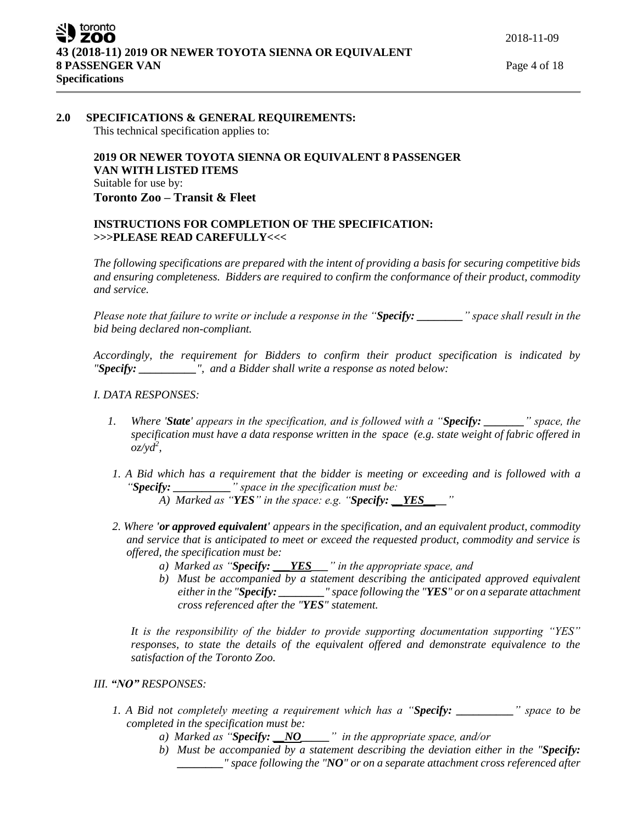### **2.0 SPECIFICATIONS & GENERAL REQUIREMENTS:**

This technical specification applies to:

## **2019 OR NEWER TOYOTA SIENNA OR EQUIVALENT 8 PASSENGER VAN WITH LISTED ITEMS** Suitable for use by: **Toronto Zoo – Transit & Fleet**

### **INSTRUCTIONS FOR COMPLETION OF THE SPECIFICATION: >>>PLEASE READ CAREFULLY<<<**

*The following specifications are prepared with the intent of providing a basis for securing competitive bids and ensuring completeness. Bidders are required to confirm the conformance of their product, commodity and service.*

*Please note that failure to write or include a response in the "Specify: \_\_\_\_\_\_\_\_" space shall result in the bid being declared non-compliant.*

*Accordingly, the requirement for Bidders to confirm their product specification is indicated by "Specify: \_\_\_\_\_\_\_\_\_\_", and a Bidder shall write a response as noted below:* 

#### *I. DATA RESPONSES:*

- *1. Where 'State' appears in the specification, and is followed with a "Specify: \_\_\_\_\_\_\_" space, the specification must have a data response written in the space (e.g. state weight of fabric offered in oz/yd<sup>2</sup> ,*
- *1. A Bid which has a requirement that the bidder is meeting or exceeding and is followed with a "Specify: \_\_\_\_\_\_\_\_\_\_" space in the specification must be: A) Marked as "YES" in the space: e.g. "Specify: \_\_YES\_\_\_\_"*
- *2. Where 'or approved equivalent' appears in the specification, and an equivalent product, commodity and service that is anticipated to meet or exceed the requested product, commodity and service is* 
	- *offered, the specification must be:*
		- *a) Marked as "Specify: \_\_\_YES\_\_\_" in the appropriate space, and*
		- *b) Must be accompanied by a statement describing the anticipated approved equivalent either in the "Specify: \_\_\_\_\_\_\_\_" space following the "YES" or on a separate attachment cross referenced after the "YES" statement.*

*It is the responsibility of the bidder to provide supporting documentation supporting "YES" responses, to state the details of the equivalent offered and demonstrate equivalence to the satisfaction of the Toronto Zoo.* 

- *III. "NO" RESPONSES:*
	- *1. A Bid not completely meeting a requirement which has a "Specify: \_\_\_\_\_\_\_\_\_\_" space to be completed in the specification must be:*
		- *a) Marked as "Specify: \_\_NO\_\_\_\_\_" in the appropriate space, and/or*
		- *b) Must be accompanied by a statement describing the deviation either in the "Specify: \_\_\_\_\_\_\_\_" space following the "NO" or on a separate attachment cross referenced after*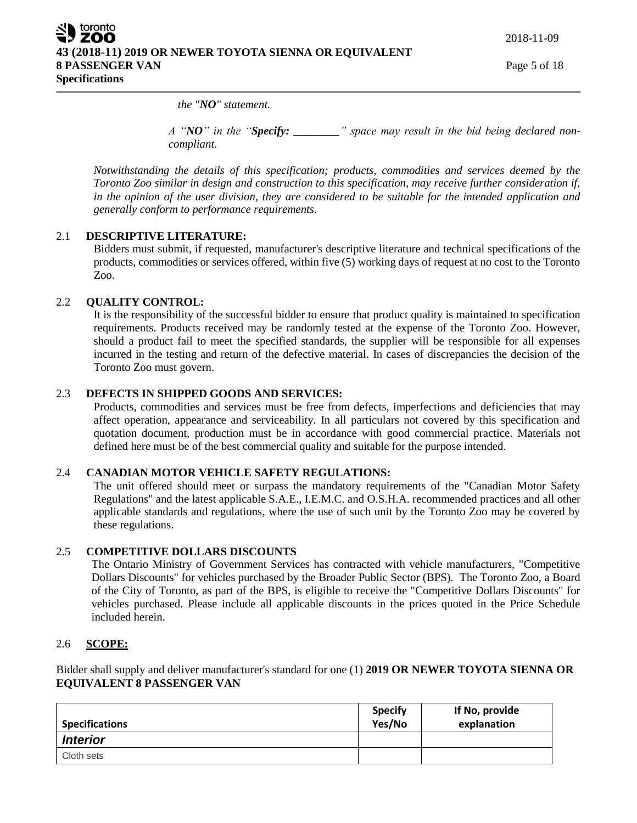toronto zoo **43 (2018-11) 2019 OR NEWER TOYOTA SIENNA OR EQUIVALENT 8 PASSENGER VAN** Page 5 of 18 **Specifications**

2018-11-09

*the "NO" statement.* 

*A "NO" in the "Specify: \_\_\_\_\_\_\_\_" space may result in the bid being declared noncompliant.* 

*Notwithstanding the details of this specification; products, commodities and services deemed by the Toronto Zoo similar in design and construction to this specification, may receive further consideration if, in the opinion of the user division, they are considered to be suitable for the intended application and generally conform to performance requirements.*

### 2.1 **DESCRIPTIVE LITERATURE:**

Bidders must submit, if requested, manufacturer's descriptive literature and technical specifications of the products, commodities or services offered, within five (5) working days of request at no cost to the Toronto Zoo.

### 2.2 **QUALITY CONTROL:**

It is the responsibility of the successful bidder to ensure that product quality is maintained to specification requirements. Products received may be randomly tested at the expense of the Toronto Zoo. However, should a product fail to meet the specified standards, the supplier will be responsible for all expenses incurred in the testing and return of the defective material. In cases of discrepancies the decision of the Toronto Zoo must govern.

### 2.3 **DEFECTS IN SHIPPED GOODS AND SERVICES:**

Products, commodities and services must be free from defects, imperfections and deficiencies that may affect operation, appearance and serviceability. In all particulars not covered by this specification and quotation document, production must be in accordance with good commercial practice. Materials not defined here must be of the best commercial quality and suitable for the purpose intended.

#### 2.4 **CANADIAN MOTOR VEHICLE SAFETY REGULATIONS:**

The unit offered should meet or surpass the mandatory requirements of the "Canadian Motor Safety Regulations" and the latest applicable S.A.E., I.E.M.C. and O.S.H.A. recommended practices and all other applicable standards and regulations, where the use of such unit by the Toronto Zoo may be covered by these regulations.

#### 2.5 **COMPETITIVE DOLLARS DISCOUNTS**

The Ontario Ministry of Government Services has contracted with vehicle manufacturers, "Competitive Dollars Discounts" for vehicles purchased by the Broader Public Sector (BPS). The Toronto Zoo, a Board of the City of Toronto, as part of the BPS, is eligible to receive the "Competitive Dollars Discounts" for vehicles purchased. Please include all applicable discounts in the prices quoted in the Price Schedule included herein.

### 2.6 **SCOPE:**

Bidder shall supply and deliver manufacturer's standard for one (1) **2019 OR NEWER TOYOTA SIENNA OR EQUIVALENT 8 PASSENGER VAN**

| <b>Specifications</b> | <b>Specify</b><br>Yes/No | If No, provide<br>explanation |
|-----------------------|--------------------------|-------------------------------|
| <b>Interior</b>       |                          |                               |
| Cloth sets            |                          |                               |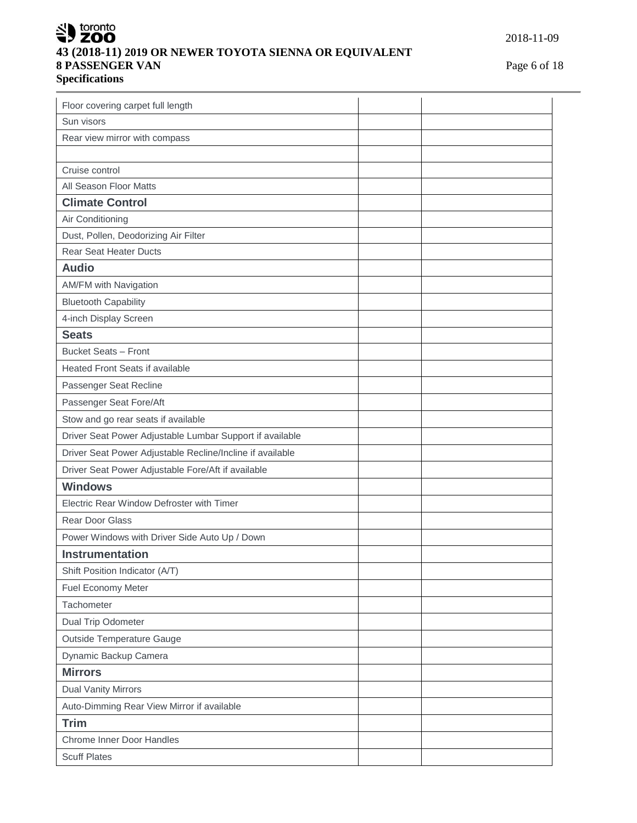# SU toronto **43 (2018-11) 2019 OR NEWER TOYOTA SIENNA OR EQUIVALENT 8 PASSENGER VAN** Page 6 of 18 **Specifications**

| Floor covering carpet full length                         |  |
|-----------------------------------------------------------|--|
| Sun visors                                                |  |
| Rear view mirror with compass                             |  |
|                                                           |  |
| Cruise control                                            |  |
| All Season Floor Matts                                    |  |
| <b>Climate Control</b>                                    |  |
| Air Conditioning                                          |  |
| Dust, Pollen, Deodorizing Air Filter                      |  |
| <b>Rear Seat Heater Ducts</b>                             |  |
| <b>Audio</b>                                              |  |
| AM/FM with Navigation                                     |  |
| <b>Bluetooth Capability</b>                               |  |
| 4-inch Display Screen                                     |  |
| <b>Seats</b>                                              |  |
| <b>Bucket Seats - Front</b>                               |  |
| <b>Heated Front Seats if available</b>                    |  |
| Passenger Seat Recline                                    |  |
| Passenger Seat Fore/Aft                                   |  |
| Stow and go rear seats if available                       |  |
| Driver Seat Power Adjustable Lumbar Support if available  |  |
| Driver Seat Power Adjustable Recline/Incline if available |  |
| Driver Seat Power Adjustable Fore/Aft if available        |  |
| <b>Windows</b>                                            |  |
| Electric Rear Window Defroster with Timer                 |  |
| <b>Rear Door Glass</b>                                    |  |
| Power Windows with Driver Side Auto Up / Down             |  |
| <b>Instrumentation</b>                                    |  |
| Shift Position Indicator (A/T)                            |  |
| Fuel Economy Meter                                        |  |
| Tachometer                                                |  |
| Dual Trip Odometer                                        |  |
| Outside Temperature Gauge                                 |  |
| Dynamic Backup Camera                                     |  |
| <b>Mirrors</b>                                            |  |
| <b>Dual Vanity Mirrors</b>                                |  |
| Auto-Dimming Rear View Mirror if available                |  |
| <b>Trim</b>                                               |  |
| Chrome Inner Door Handles                                 |  |
| <b>Scuff Plates</b>                                       |  |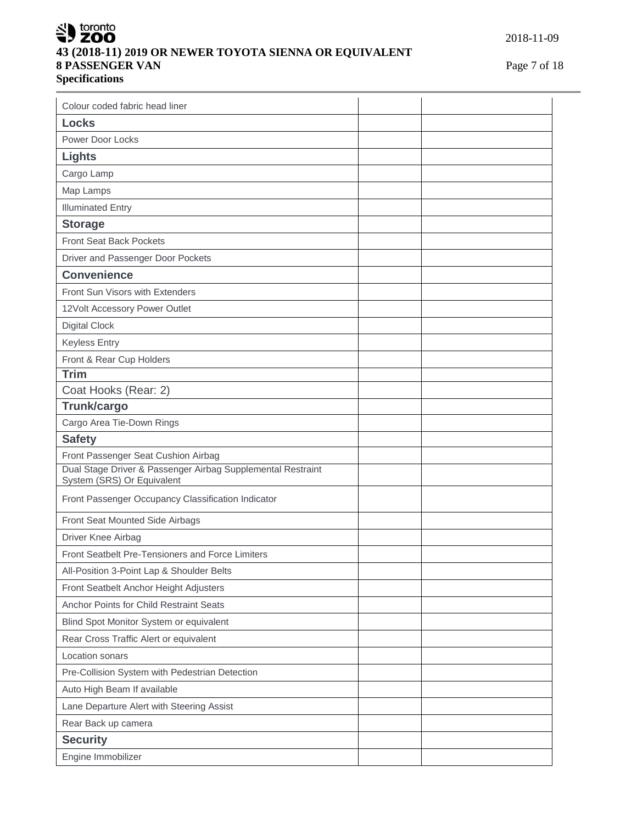# SU toronto **43 (2018-11) 2019 OR NEWER TOYOTA SIENNA OR EQUIVALENT 8 PASSENGER VAN** Page 7 of 18 **Specifications**

| Colour coded fabric head liner                                                            |  |
|-------------------------------------------------------------------------------------------|--|
| <b>Locks</b>                                                                              |  |
| Power Door Locks                                                                          |  |
| <b>Lights</b>                                                                             |  |
| Cargo Lamp                                                                                |  |
| Map Lamps                                                                                 |  |
| <b>Illuminated Entry</b>                                                                  |  |
| <b>Storage</b>                                                                            |  |
| <b>Front Seat Back Pockets</b>                                                            |  |
| Driver and Passenger Door Pockets                                                         |  |
| <b>Convenience</b>                                                                        |  |
| <b>Front Sun Visors with Extenders</b>                                                    |  |
| 12Volt Accessory Power Outlet                                                             |  |
| <b>Digital Clock</b>                                                                      |  |
| <b>Keyless Entry</b>                                                                      |  |
| Front & Rear Cup Holders                                                                  |  |
| Trim                                                                                      |  |
| Coat Hooks (Rear: 2)                                                                      |  |
| Trunk/cargo                                                                               |  |
| Cargo Area Tie-Down Rings                                                                 |  |
|                                                                                           |  |
| <b>Safety</b>                                                                             |  |
| Front Passenger Seat Cushion Airbag                                                       |  |
| Dual Stage Driver & Passenger Airbag Supplemental Restraint<br>System (SRS) Or Equivalent |  |
| Front Passenger Occupancy Classification Indicator                                        |  |
| Front Seat Mounted Side Airbags                                                           |  |
| Driver Knee Airbag                                                                        |  |
| <b>Front Seatbelt Pre-Tensioners and Force Limiters</b>                                   |  |
| All-Position 3-Point Lap & Shoulder Belts                                                 |  |
| Front Seatbelt Anchor Height Adjusters                                                    |  |
| Anchor Points for Child Restraint Seats                                                   |  |
| Blind Spot Monitor System or equivalent                                                   |  |
| Rear Cross Traffic Alert or equivalent                                                    |  |
| Location sonars                                                                           |  |
| Pre-Collision System with Pedestrian Detection                                            |  |
| Auto High Beam If available                                                               |  |
| Lane Departure Alert with Steering Assist                                                 |  |
| Rear Back up camera                                                                       |  |
| <b>Security</b>                                                                           |  |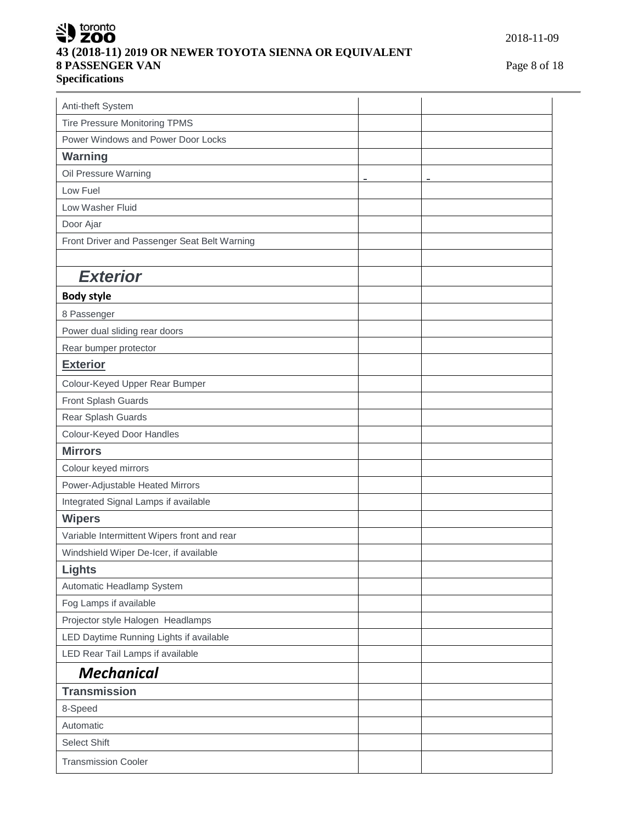# SU toronto **43 (2018-11) 2019 OR NEWER TOYOTA SIENNA OR EQUIVALENT 8 PASSENGER VAN** Page 8 of 18 **Specifications**

2018-11-09

| Anti-theft System                            |                |   |
|----------------------------------------------|----------------|---|
| <b>Tire Pressure Monitoring TPMS</b>         |                |   |
| Power Windows and Power Door Locks           |                |   |
| <b>Warning</b>                               |                |   |
| Oil Pressure Warning                         | $\blacksquare$ | ÷ |
| Low Fuel                                     |                |   |
| Low Washer Fluid                             |                |   |
| Door Ajar                                    |                |   |
| Front Driver and Passenger Seat Belt Warning |                |   |
|                                              |                |   |
| <b>Exterior</b>                              |                |   |
| <b>Body style</b>                            |                |   |
| 8 Passenger                                  |                |   |
| Power dual sliding rear doors                |                |   |
| Rear bumper protector                        |                |   |
| <b>Exterior</b>                              |                |   |
| Colour-Keyed Upper Rear Bumper               |                |   |
| Front Splash Guards                          |                |   |
| Rear Splash Guards                           |                |   |
| Colour-Keyed Door Handles                    |                |   |
| <b>Mirrors</b>                               |                |   |
| Colour keyed mirrors                         |                |   |
| Power-Adjustable Heated Mirrors              |                |   |
| Integrated Signal Lamps if available         |                |   |
| <b>Wipers</b>                                |                |   |
| Variable Intermittent Wipers front and rear  |                |   |
| Windshield Wiper De-Icer, if available       |                |   |
| <b>Lights</b>                                |                |   |
| Automatic Headlamp System                    |                |   |
| Fog Lamps if available                       |                |   |
| Projector style Halogen Headlamps            |                |   |
| LED Daytime Running Lights if available      |                |   |
| LED Rear Tail Lamps if available             |                |   |
| <b>Mechanical</b>                            |                |   |
| <b>Transmission</b>                          |                |   |
| 8-Speed                                      |                |   |
| Automatic                                    |                |   |
| <b>Select Shift</b>                          |                |   |
| <b>Transmission Cooler</b>                   |                |   |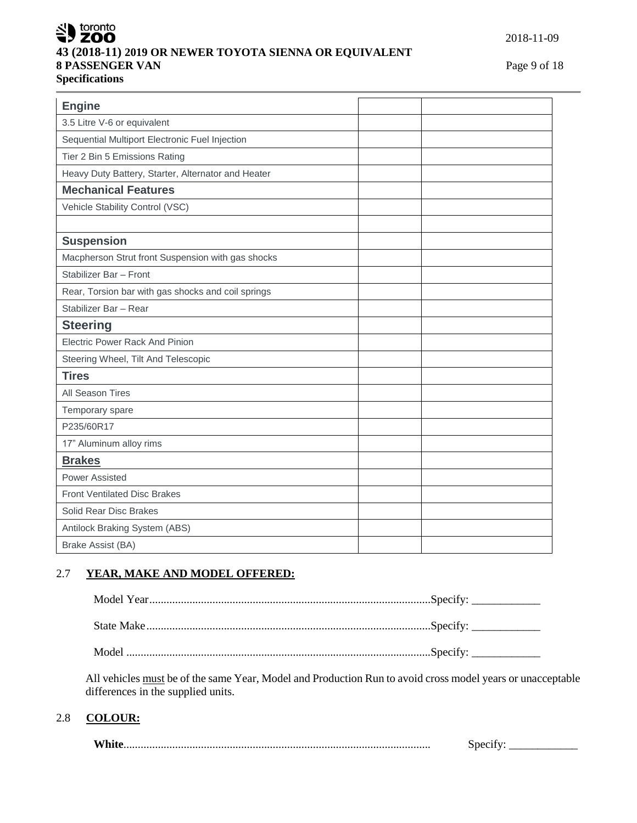## $\leq$  toronto i7 ZOO **43 (2018-11) 2019 OR NEWER TOYOTA SIENNA OR EQUIVALENT 8 PASSENGER VAN** Page 9 of 18 **Specifications**

| 3.5 Litre V-6 or equivalent<br>Sequential Multiport Electronic Fuel Injection<br>Tier 2 Bin 5 Emissions Rating<br>Heavy Duty Battery, Starter, Alternator and Heater<br><b>Mechanical Features</b><br>Vehicle Stability Control (VSC)<br><b>Suspension</b><br>Macpherson Strut front Suspension with gas shocks<br>Stabilizer Bar - Front<br>Rear, Torsion bar with gas shocks and coil springs<br>Stabilizer Bar - Rear<br><b>Steering</b><br><b>Electric Power Rack And Pinion</b><br>Steering Wheel, Tilt And Telescopic<br><b>Tires</b><br>All Season Tires<br>Temporary spare<br>P235/60R17<br>17" Aluminum alloy rims<br><b>Brakes</b><br><b>Power Assisted</b><br><b>Front Ventilated Disc Brakes</b><br>Solid Rear Disc Brakes<br>Antilock Braking System (ABS)<br>Brake Assist (BA) | <b>Engine</b> |  |
|----------------------------------------------------------------------------------------------------------------------------------------------------------------------------------------------------------------------------------------------------------------------------------------------------------------------------------------------------------------------------------------------------------------------------------------------------------------------------------------------------------------------------------------------------------------------------------------------------------------------------------------------------------------------------------------------------------------------------------------------------------------------------------------------|---------------|--|
|                                                                                                                                                                                                                                                                                                                                                                                                                                                                                                                                                                                                                                                                                                                                                                                              |               |  |
|                                                                                                                                                                                                                                                                                                                                                                                                                                                                                                                                                                                                                                                                                                                                                                                              |               |  |
|                                                                                                                                                                                                                                                                                                                                                                                                                                                                                                                                                                                                                                                                                                                                                                                              |               |  |
|                                                                                                                                                                                                                                                                                                                                                                                                                                                                                                                                                                                                                                                                                                                                                                                              |               |  |
|                                                                                                                                                                                                                                                                                                                                                                                                                                                                                                                                                                                                                                                                                                                                                                                              |               |  |
|                                                                                                                                                                                                                                                                                                                                                                                                                                                                                                                                                                                                                                                                                                                                                                                              |               |  |
|                                                                                                                                                                                                                                                                                                                                                                                                                                                                                                                                                                                                                                                                                                                                                                                              |               |  |
|                                                                                                                                                                                                                                                                                                                                                                                                                                                                                                                                                                                                                                                                                                                                                                                              |               |  |
|                                                                                                                                                                                                                                                                                                                                                                                                                                                                                                                                                                                                                                                                                                                                                                                              |               |  |
|                                                                                                                                                                                                                                                                                                                                                                                                                                                                                                                                                                                                                                                                                                                                                                                              |               |  |
|                                                                                                                                                                                                                                                                                                                                                                                                                                                                                                                                                                                                                                                                                                                                                                                              |               |  |
|                                                                                                                                                                                                                                                                                                                                                                                                                                                                                                                                                                                                                                                                                                                                                                                              |               |  |
|                                                                                                                                                                                                                                                                                                                                                                                                                                                                                                                                                                                                                                                                                                                                                                                              |               |  |
|                                                                                                                                                                                                                                                                                                                                                                                                                                                                                                                                                                                                                                                                                                                                                                                              |               |  |
|                                                                                                                                                                                                                                                                                                                                                                                                                                                                                                                                                                                                                                                                                                                                                                                              |               |  |
|                                                                                                                                                                                                                                                                                                                                                                                                                                                                                                                                                                                                                                                                                                                                                                                              |               |  |
|                                                                                                                                                                                                                                                                                                                                                                                                                                                                                                                                                                                                                                                                                                                                                                                              |               |  |
|                                                                                                                                                                                                                                                                                                                                                                                                                                                                                                                                                                                                                                                                                                                                                                                              |               |  |
|                                                                                                                                                                                                                                                                                                                                                                                                                                                                                                                                                                                                                                                                                                                                                                                              |               |  |
|                                                                                                                                                                                                                                                                                                                                                                                                                                                                                                                                                                                                                                                                                                                                                                                              |               |  |
|                                                                                                                                                                                                                                                                                                                                                                                                                                                                                                                                                                                                                                                                                                                                                                                              |               |  |
|                                                                                                                                                                                                                                                                                                                                                                                                                                                                                                                                                                                                                                                                                                                                                                                              |               |  |
|                                                                                                                                                                                                                                                                                                                                                                                                                                                                                                                                                                                                                                                                                                                                                                                              |               |  |
|                                                                                                                                                                                                                                                                                                                                                                                                                                                                                                                                                                                                                                                                                                                                                                                              |               |  |
|                                                                                                                                                                                                                                                                                                                                                                                                                                                                                                                                                                                                                                                                                                                                                                                              |               |  |
|                                                                                                                                                                                                                                                                                                                                                                                                                                                                                                                                                                                                                                                                                                                                                                                              |               |  |

# 2.7 **YEAR, MAKE AND MODEL OFFERED:**

All vehicles must be of the same Year, Model and Production Run to avoid cross model years or unacceptable differences in the supplied units.

## 2.8 **COLOUR:**

| 4 X 7 1<br>V١ |  |
|---------------|--|
|---------------|--|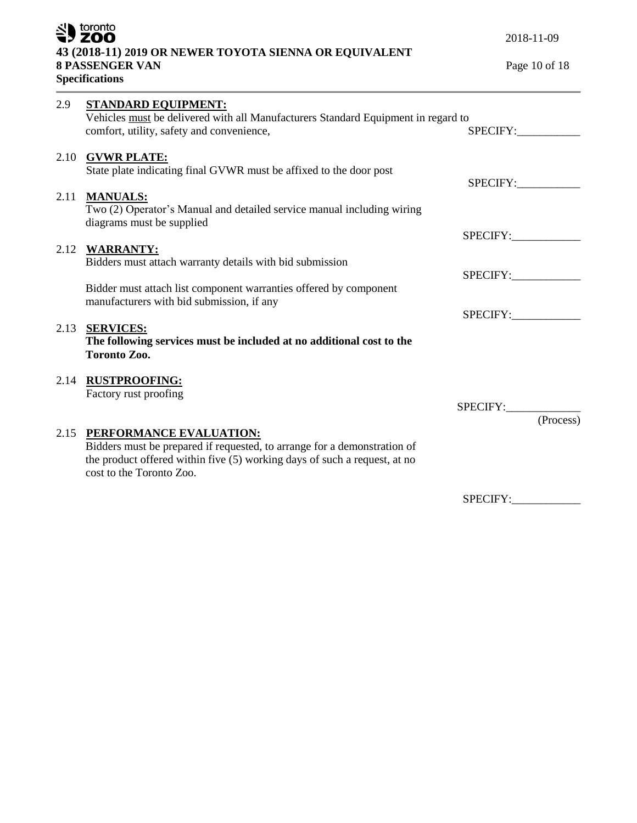|      | SU toronto<br>43 (2018-11) 2019 OR NEWER TOYOTA SIENNA OR EQUIVALENT<br><b>8 PASSENGER VAN</b><br><b>Specifications</b>                                                                                           | 2018-11-09<br>Page 10 of 18 |
|------|-------------------------------------------------------------------------------------------------------------------------------------------------------------------------------------------------------------------|-----------------------------|
| 2.9  | <b>STANDARD EQUIPMENT:</b><br>Vehicles must be delivered with all Manufacturers Standard Equipment in regard to<br>comfort, utility, safety and convenience,                                                      | SPECIFY:                    |
|      | 2.10 GVWR PLATE:<br>State plate indicating final GVWR must be affixed to the door post                                                                                                                            | SPECIFY:                    |
| 2.11 | <b>MANUALS:</b><br>Two (2) Operator's Manual and detailed service manual including wiring<br>diagrams must be supplied                                                                                            |                             |
|      | 2.12 WARRANTY:<br>Bidders must attach warranty details with bid submission                                                                                                                                        | SPECIFY:<br>SPECIFY:        |
|      | Bidder must attach list component warranties offered by component<br>manufacturers with bid submission, if any                                                                                                    | SPECIFY:                    |
|      | 2.13 SERVICES:<br>The following services must be included at no additional cost to the<br><b>Toronto Zoo.</b>                                                                                                     |                             |
|      | 2.14 RUSTPROOFING:<br>Factory rust proofing                                                                                                                                                                       |                             |
|      | 2.15 PERFORMANCE EVALUATION:<br>Bidders must be prepared if requested, to arrange for a demonstration of<br>the product offered within five (5) working days of such a request, at no<br>cost to the Toronto Zoo. | SPECIFY: (Process)          |
|      |                                                                                                                                                                                                                   | <b>SPECIFY:</b>             |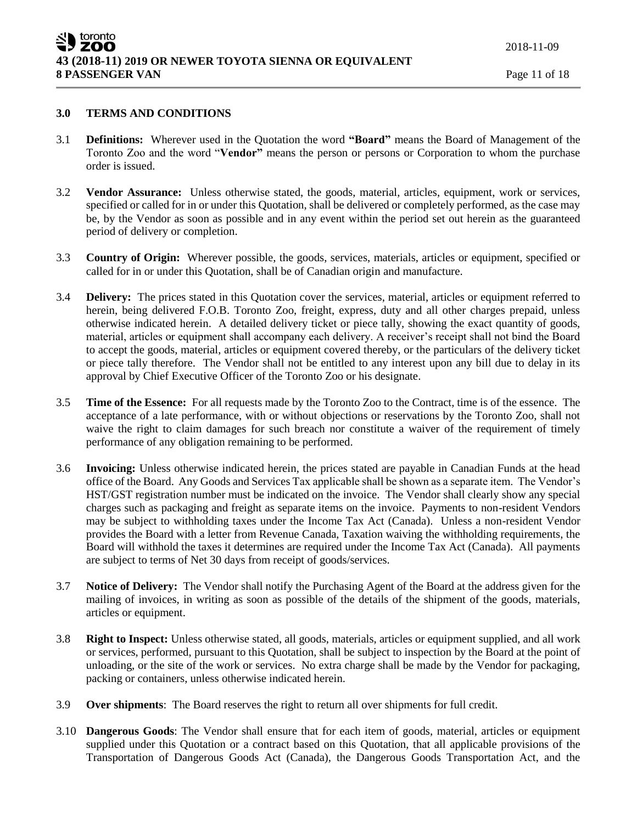### **3.0 TERMS AND CONDITIONS**

- 3.1 **Definitions:** Wherever used in the Quotation the word **"Board"** means the Board of Management of the Toronto Zoo and the word "**Vendor"** means the person or persons or Corporation to whom the purchase order is issued.
- 3.2 **Vendor Assurance:** Unless otherwise stated, the goods, material, articles, equipment, work or services, specified or called for in or under this Quotation, shall be delivered or completely performed, as the case may be, by the Vendor as soon as possible and in any event within the period set out herein as the guaranteed period of delivery or completion.
- 3.3 **Country of Origin:** Wherever possible, the goods, services, materials, articles or equipment, specified or called for in or under this Quotation, shall be of Canadian origin and manufacture.
- 3.4 **Delivery:** The prices stated in this Quotation cover the services, material, articles or equipment referred to herein, being delivered F.O.B. Toronto Zoo, freight, express, duty and all other charges prepaid, unless otherwise indicated herein. A detailed delivery ticket or piece tally, showing the exact quantity of goods, material, articles or equipment shall accompany each delivery. A receiver's receipt shall not bind the Board to accept the goods, material, articles or equipment covered thereby, or the particulars of the delivery ticket or piece tally therefore. The Vendor shall not be entitled to any interest upon any bill due to delay in its approval by Chief Executive Officer of the Toronto Zoo or his designate.
- 3.5 **Time of the Essence:** For all requests made by the Toronto Zoo to the Contract, time is of the essence. The acceptance of a late performance, with or without objections or reservations by the Toronto Zoo, shall not waive the right to claim damages for such breach nor constitute a waiver of the requirement of timely performance of any obligation remaining to be performed.
- 3.6 **Invoicing:** Unless otherwise indicated herein, the prices stated are payable in Canadian Funds at the head office of the Board. Any Goods and Services Tax applicable shall be shown as a separate item. The Vendor's HST/GST registration number must be indicated on the invoice. The Vendor shall clearly show any special charges such as packaging and freight as separate items on the invoice. Payments to non-resident Vendors may be subject to withholding taxes under the Income Tax Act (Canada). Unless a non-resident Vendor provides the Board with a letter from Revenue Canada, Taxation waiving the withholding requirements, the Board will withhold the taxes it determines are required under the Income Tax Act (Canada). All payments are subject to terms of Net 30 days from receipt of goods/services.
- 3.7 **Notice of Delivery:** The Vendor shall notify the Purchasing Agent of the Board at the address given for the mailing of invoices, in writing as soon as possible of the details of the shipment of the goods, materials, articles or equipment.
- 3.8 **Right to Inspect:** Unless otherwise stated, all goods, materials, articles or equipment supplied, and all work or services, performed, pursuant to this Quotation, shall be subject to inspection by the Board at the point of unloading, or the site of the work or services. No extra charge shall be made by the Vendor for packaging, packing or containers, unless otherwise indicated herein.
- 3.9 **Over shipments**: The Board reserves the right to return all over shipments for full credit.
- 3.10 **Dangerous Goods**: The Vendor shall ensure that for each item of goods, material, articles or equipment supplied under this Quotation or a contract based on this Quotation, that all applicable provisions of the Transportation of Dangerous Goods Act (Canada), the Dangerous Goods Transportation Act, and the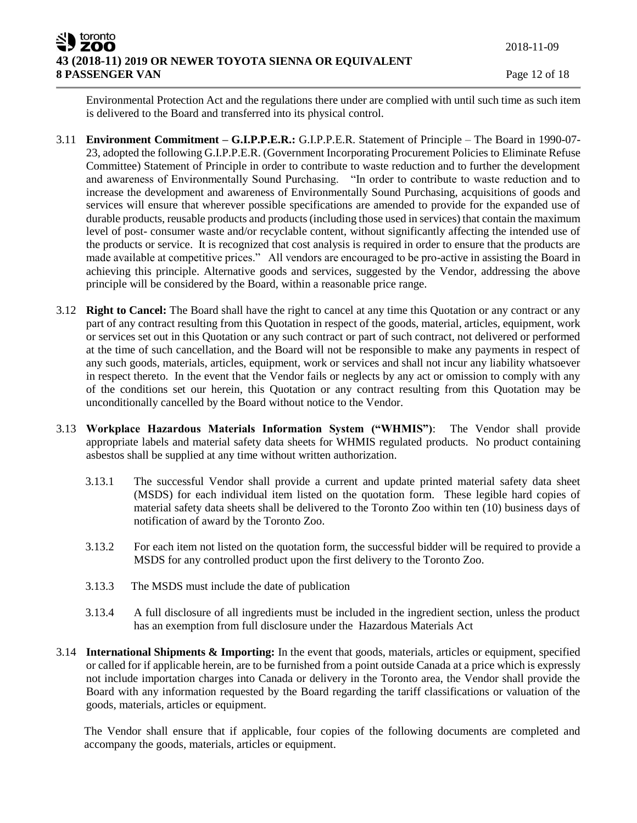Environmental Protection Act and the regulations there under are complied with until such time as such item is delivered to the Board and transferred into its physical control.

- 3.11 **Environment Commitment – G.I.P.P.E.R.:** G.I.P.P.E.R. Statement of Principle The Board in 1990-07- 23, adopted the following G.I.P.P.E.R. (Government Incorporating Procurement Policies to Eliminate Refuse Committee) Statement of Principle in order to contribute to waste reduction and to further the development and awareness of Environmentally Sound Purchasing. "In order to contribute to waste reduction and to increase the development and awareness of Environmentally Sound Purchasing, acquisitions of goods and services will ensure that wherever possible specifications are amended to provide for the expanded use of durable products, reusable products and products (including those used in services) that contain the maximum level of post- consumer waste and/or recyclable content, without significantly affecting the intended use of the products or service. It is recognized that cost analysis is required in order to ensure that the products are made available at competitive prices." All vendors are encouraged to be pro-active in assisting the Board in achieving this principle. Alternative goods and services, suggested by the Vendor, addressing the above principle will be considered by the Board, within a reasonable price range.
- 3.12 **Right to Cancel:** The Board shall have the right to cancel at any time this Quotation or any contract or any part of any contract resulting from this Quotation in respect of the goods, material, articles, equipment, work or services set out in this Quotation or any such contract or part of such contract, not delivered or performed at the time of such cancellation, and the Board will not be responsible to make any payments in respect of any such goods, materials, articles, equipment, work or services and shall not incur any liability whatsoever in respect thereto. In the event that the Vendor fails or neglects by any act or omission to comply with any of the conditions set our herein, this Quotation or any contract resulting from this Quotation may be unconditionally cancelled by the Board without notice to the Vendor.
- 3.13 **Workplace Hazardous Materials Information System ("WHMIS")**: The Vendor shall provide appropriate labels and material safety data sheets for WHMIS regulated products. No product containing asbestos shall be supplied at any time without written authorization.
	- 3.13.1 The successful Vendor shall provide a current and update printed material safety data sheet (MSDS) for each individual item listed on the quotation form. These legible hard copies of material safety data sheets shall be delivered to the Toronto Zoo within ten (10) business days of notification of award by the Toronto Zoo.
	- 3.13.2 For each item not listed on the quotation form, the successful bidder will be required to provide a MSDS for any controlled product upon the first delivery to the Toronto Zoo.
	- 3.13.3 The MSDS must include the date of publication
	- 3.13.4 A full disclosure of all ingredients must be included in the ingredient section, unless the product has an exemption from full disclosure under the Hazardous Materials Act
- 3.14 **International Shipments & Importing:** In the event that goods, materials, articles or equipment, specified or called for if applicable herein, are to be furnished from a point outside Canada at a price which is expressly not include importation charges into Canada or delivery in the Toronto area, the Vendor shall provide the Board with any information requested by the Board regarding the tariff classifications or valuation of the goods, materials, articles or equipment.

The Vendor shall ensure that if applicable, four copies of the following documents are completed and accompany the goods, materials, articles or equipment.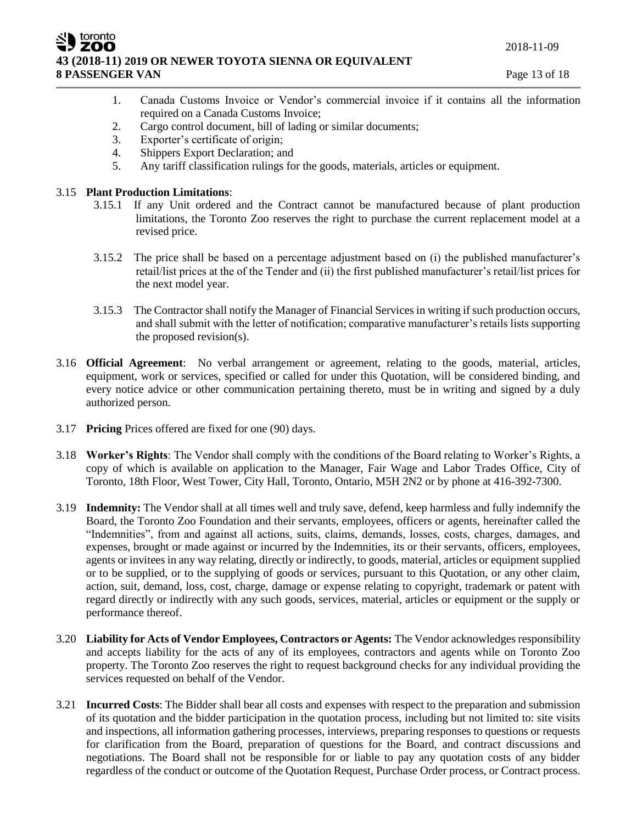2018-11-09

### ZOO **43 (2018-11) 2019 OR NEWER TOYOTA SIENNA OR EQUIVALENT 8 PASSENGER VAN** Page 13 of 18

- 
- 1. Canada Customs Invoice or Vendor's commercial invoice if it contains all the information required on a Canada Customs Invoice;
- 2. Cargo control document, bill of lading or similar documents;
- 3. Exporter's certificate of origin;
- 4. Shippers Export Declaration; and
- 5. Any tariff classification rulings for the goods, materials, articles or equipment.

## 3.15 **Plant Production Limitations**:

toronto

- 3.15.1 If any Unit ordered and the Contract cannot be manufactured because of plant production limitations, the Toronto Zoo reserves the right to purchase the current replacement model at a revised price.
- 3.15.2 The price shall be based on a percentage adjustment based on (i) the published manufacturer's retail/list prices at the of the Tender and (ii) the first published manufacturer's retail/list prices for the next model year.
- 3.15.3 The Contractor shall notify the Manager of Financial Services in writing if such production occurs, and shall submit with the letter of notification; comparative manufacturer's retails lists supporting the proposed revision(s).
- 3.16 **Official Agreement**: No verbal arrangement or agreement, relating to the goods, material, articles, equipment, work or services, specified or called for under this Quotation, will be considered binding, and every notice advice or other communication pertaining thereto, must be in writing and signed by a duly authorized person.
- 3.17 **Pricing** Prices offered are fixed for one (90) days.
- 3.18 **Worker's Rights**: The Vendor shall comply with the conditions of the Board relating to Worker's Rights, a copy of which is available on application to the Manager, Fair Wage and Labor Trades Office, City of Toronto, 18th Floor, West Tower, City Hall, Toronto, Ontario, M5H 2N2 or by phone at 416-392-7300.
- 3.19 **Indemnity:** The Vendor shall at all times well and truly save, defend, keep harmless and fully indemnify the Board, the Toronto Zoo Foundation and their servants, employees, officers or agents, hereinafter called the "Indemnities", from and against all actions, suits, claims, demands, losses, costs, charges, damages, and expenses, brought or made against or incurred by the Indemnities, its or their servants, officers, employees, agents or invitees in any way relating, directly or indirectly, to goods, material, articles or equipment supplied or to be supplied, or to the supplying of goods or services, pursuant to this Quotation, or any other claim, action, suit, demand, loss, cost, charge, damage or expense relating to copyright, trademark or patent with regard directly or indirectly with any such goods, services, material, articles or equipment or the supply or performance thereof.
- 3.20 **Liability for Acts of Vendor Employees, Contractors or Agents:** The Vendor acknowledges responsibility and accepts liability for the acts of any of its employees, contractors and agents while on Toronto Zoo property. The Toronto Zoo reserves the right to request background checks for any individual providing the services requested on behalf of the Vendor.
- 3.21 **Incurred Costs**: The Bidder shall bear all costs and expenses with respect to the preparation and submission of its quotation and the bidder participation in the quotation process, including but not limited to: site visits and inspections, all information gathering processes, interviews, preparing responses to questions or requests for clarification from the Board, preparation of questions for the Board, and contract discussions and negotiations. The Board shall not be responsible for or liable to pay any quotation costs of any bidder regardless of the conduct or outcome of the Quotation Request, Purchase Order process, or Contract process.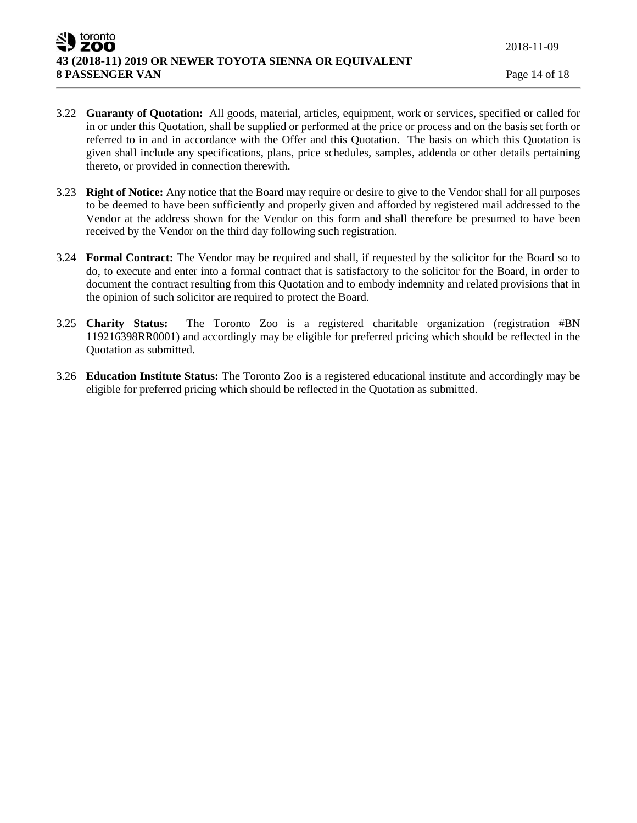- 3.22 **Guaranty of Quotation:** All goods, material, articles, equipment, work or services, specified or called for in or under this Quotation, shall be supplied or performed at the price or process and on the basis set forth or referred to in and in accordance with the Offer and this Quotation. The basis on which this Quotation is given shall include any specifications, plans, price schedules, samples, addenda or other details pertaining thereto, or provided in connection therewith.
- 3.23 **Right of Notice:** Any notice that the Board may require or desire to give to the Vendor shall for all purposes to be deemed to have been sufficiently and properly given and afforded by registered mail addressed to the Vendor at the address shown for the Vendor on this form and shall therefore be presumed to have been received by the Vendor on the third day following such registration.
- 3.24 **Formal Contract:** The Vendor may be required and shall, if requested by the solicitor for the Board so to do, to execute and enter into a formal contract that is satisfactory to the solicitor for the Board, in order to document the contract resulting from this Quotation and to embody indemnity and related provisions that in the opinion of such solicitor are required to protect the Board.
- 3.25 **Charity Status:** The Toronto Zoo is a registered charitable organization (registration #BN 119216398RR0001) and accordingly may be eligible for preferred pricing which should be reflected in the Quotation as submitted.
- 3.26 **Education Institute Status:** The Toronto Zoo is a registered educational institute and accordingly may be eligible for preferred pricing which should be reflected in the Quotation as submitted.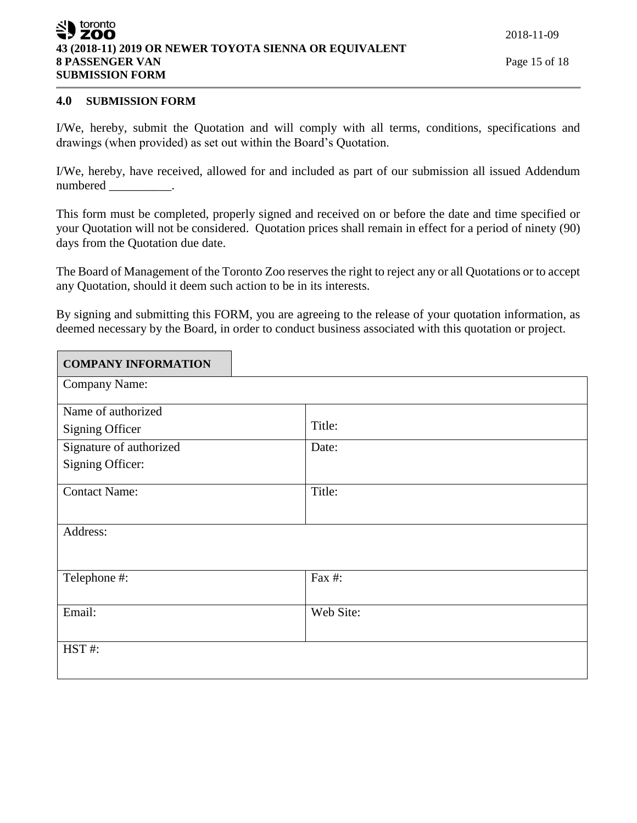| SU toronto                                             |
|--------------------------------------------------------|
| 43 (2018-11) 2019 OR NEWER TOYOTA SIENNA OR EQUIVALENT |
| <b>8 PASSENGER VAN</b>                                 |
| <b>SUBMISSION FORM</b>                                 |

2018-11-09

# **4.0 SUBMISSION FORM**

I/We, hereby, submit the Quotation and will comply with all terms, conditions, specifications and drawings (when provided) as set out within the Board's Quotation.

I/We, hereby, have received, allowed for and included as part of our submission all issued Addendum numbered \_\_\_\_\_\_\_\_\_\_.

This form must be completed, properly signed and received on or before the date and time specified or your Quotation will not be considered. Quotation prices shall remain in effect for a period of ninety (90) days from the Quotation due date.

The Board of Management of the Toronto Zoo reserves the right to reject any or all Quotations or to accept any Quotation, should it deem such action to be in its interests.

By signing and submitting this FORM, you are agreeing to the release of your quotation information, as deemed necessary by the Board, in order to conduct business associated with this quotation or project.

| <b>COMPANY INFORMATION</b> |           |
|----------------------------|-----------|
| Company Name:              |           |
| Name of authorized         |           |
| <b>Signing Officer</b>     | Title:    |
| Signature of authorized    | Date:     |
| Signing Officer:           |           |
| <b>Contact Name:</b>       | Title:    |
| Address:                   |           |
| Telephone #:               | Fax #:    |
| Email:                     | Web Site: |
| HST#:                      |           |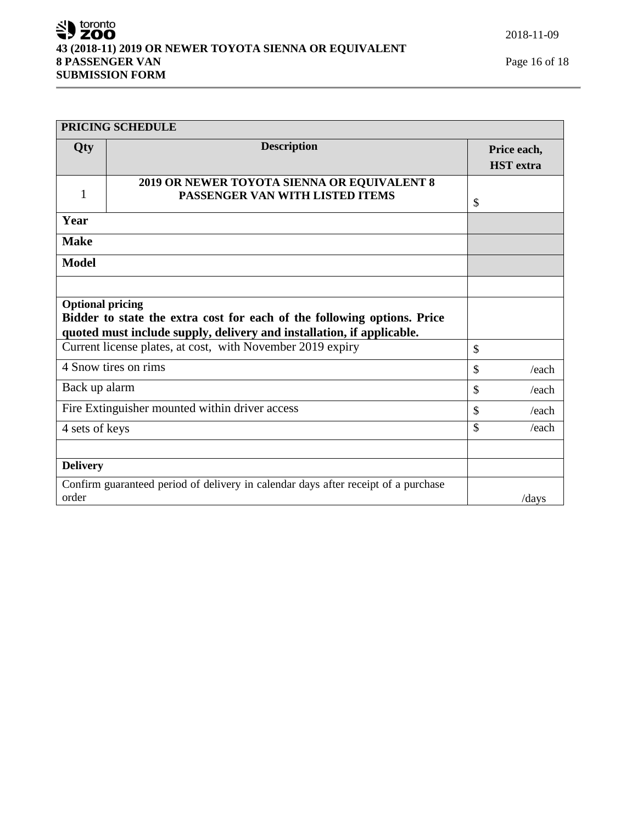# SU toronto **43 (2018-11) 2019 OR NEWER TOYOTA SIENNA OR EQUIVALENT 8 PASSENGER VAN** Page 16 of 18 **SUBMISSION FORM**

|                         | <b>PRICING SCHEDULE</b>                                                                                                                          |               |                                 |
|-------------------------|--------------------------------------------------------------------------------------------------------------------------------------------------|---------------|---------------------------------|
| Qty                     | <b>Description</b>                                                                                                                               |               | Price each,<br><b>HST</b> extra |
| 1                       | 2019 OR NEWER TOYOTA SIENNA OR EQUIVALENT 8<br>PASSENGER VAN WITH LISTED ITEMS                                                                   | $\mathcal{S}$ |                                 |
| Year                    |                                                                                                                                                  |               |                                 |
| <b>Make</b>             |                                                                                                                                                  |               |                                 |
| <b>Model</b>            |                                                                                                                                                  |               |                                 |
|                         |                                                                                                                                                  |               |                                 |
| <b>Optional pricing</b> | Bidder to state the extra cost for each of the following options. Price<br>quoted must include supply, delivery and installation, if applicable. |               |                                 |
|                         | Current license plates, at cost, with November 2019 expiry                                                                                       | $\mathcal{S}$ |                                 |
|                         | 4 Snow tires on rims                                                                                                                             | $\mathcal{S}$ | /each                           |
| Back up alarm           |                                                                                                                                                  | $\mathcal{S}$ | /each                           |
|                         | Fire Extinguisher mounted within driver access                                                                                                   | $\mathcal{S}$ | /each                           |
| 4 sets of keys          |                                                                                                                                                  | \$            | /each                           |
|                         |                                                                                                                                                  |               |                                 |
| <b>Delivery</b>         |                                                                                                                                                  |               |                                 |
| order                   | Confirm guaranteed period of delivery in calendar days after receipt of a purchase                                                               |               | /days                           |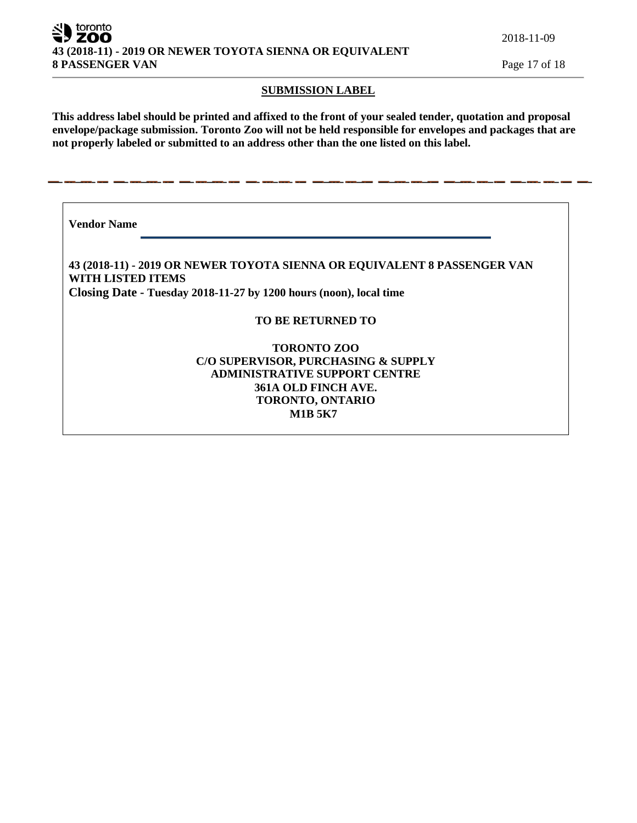ZOO **43 (2018-11) - 2019 OR NEWER TOYOTA SIENNA OR EQUIVALENT 8 PASSENGER VAN** Page 17 of 18

2018-11-09

#### **SUBMISSION LABEL**

**This address label should be printed and affixed to the front of your sealed tender, quotation and proposal envelope/package submission. Toronto Zoo will not be held responsible for envelopes and packages that are not properly labeled or submitted to an address other than the one listed on this label.**

**Vendor Name** 

toronto

**43 (2018-11) - 2019 OR NEWER TOYOTA SIENNA OR EQUIVALENT 8 PASSENGER VAN WITH LISTED ITEMS Closing Date - Tuesday 2018-11-27 by 1200 hours (noon), local time**

### **TO BE RETURNED TO**

**TORONTO ZOO C/O SUPERVISOR, PURCHASING & SUPPLY ADMINISTRATIVE SUPPORT CENTRE 361A OLD FINCH AVE. TORONTO, ONTARIO M1B 5K7**